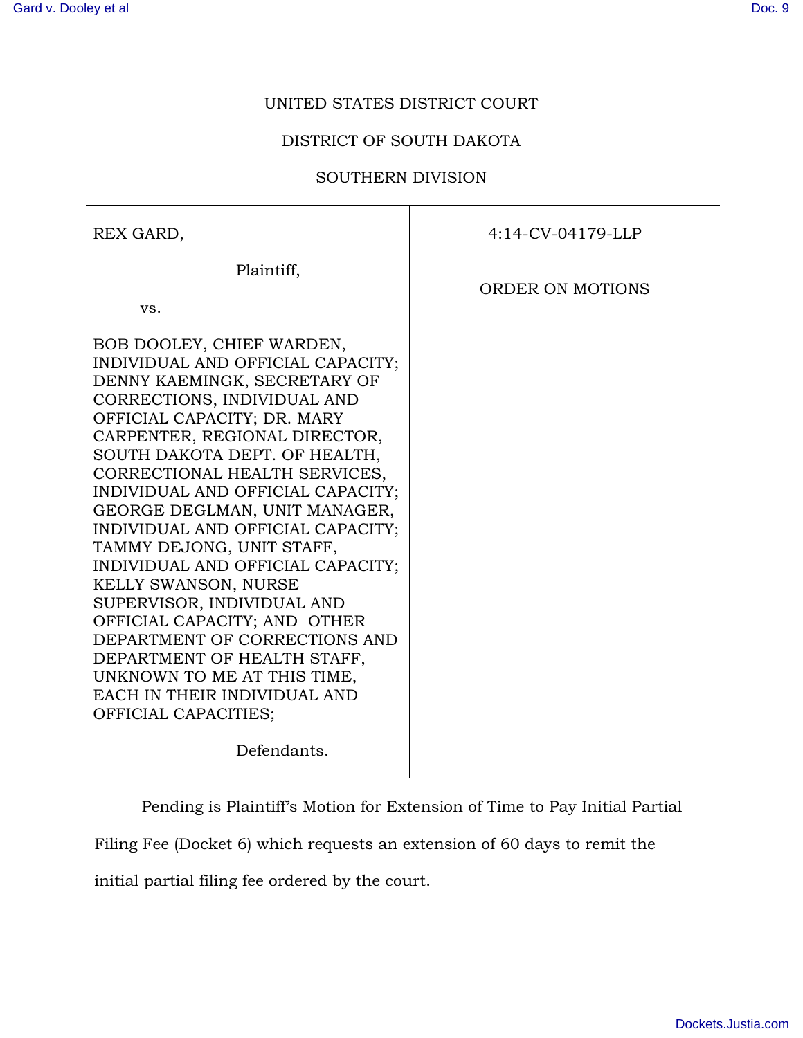## UNITED STATES DISTRICT COURT

## DISTRICT OF SOUTH DAKOTA

## SOUTHERN DIVISION

REX GARD, Plaintiff, vs. BOB DOOLEY, CHIEF WARDEN, INDIVIDUAL AND OFFICIAL CAPACITY; DENNY KAEMINGK, SECRETARY OF CORRECTIONS, INDIVIDUAL AND OFFICIAL CAPACITY; DR. MARY CARPENTER, REGIONAL DIRECTOR, SOUTH DAKOTA DEPT. OF HEALTH, CORRECTIONAL HEALTH SERVICES, INDIVIDUAL AND OFFICIAL CAPACITY; GEORGE DEGLMAN, UNIT MANAGER, INDIVIDUAL AND OFFICIAL CAPACITY; TAMMY DEJONG, UNIT STAFF, INDIVIDUAL AND OFFICIAL CAPACITY; KELLY SWANSON, NURSE SUPERVISOR, INDIVIDUAL AND OFFICIAL CAPACITY; AND OTHER DEPARTMENT OF CORRECTIONS AND DEPARTMENT OF HEALTH STAFF, UNKNOWN TO ME AT THIS TIME, EACH IN THEIR INDIVIDUAL AND OFFICIAL CAPACITIES; Defendants. 4:14-CV-04179-LLP ORDER ON MOTIONS

Pending is Plaintiff's Motion for Extension of Time to Pay Initial Partial

Filing Fee (Docket 6) which requests an extension of 60 days to remit the

initial partial filing fee ordered by the court.